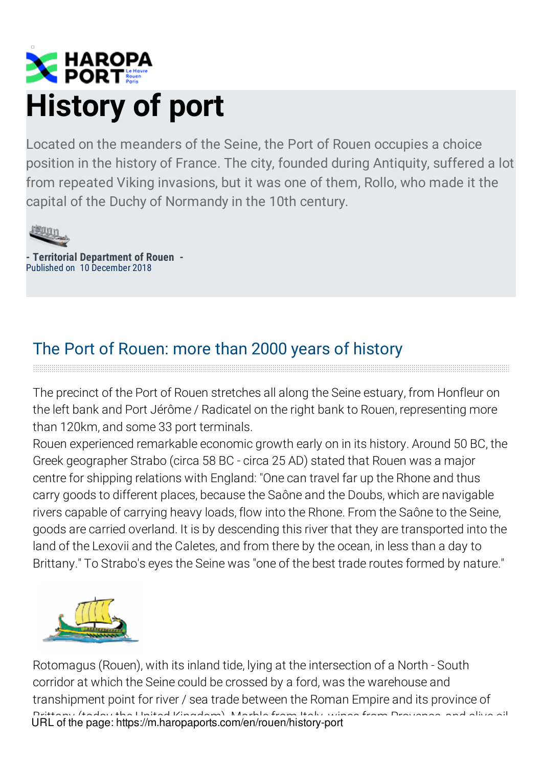

Located on the meanders of the Seine, the Port of Rouen occupies a choice position in the history of France. The city, founded during Antiquity, suffered a lot from repeated Viking invasions, but it was one of them, Rollo, who made it the capital of the Duchy of Normandy in the 10th century.



**- Territorial Department of Rouen -** Published on 10 December 2018

# The Port of Rouen: more than 2000 years of history

The precinct of the Port of Rouen stretches all along the Seine estuary, from Honfleur on the left bank and Port Jérôme / Radicatel on the right bank to Rouen, representing more than 120km, and some 33 port terminals.

Rouen experienced remarkable economic growth early on in its history. Around 50 BC, the Greek geographer Strabo (circa 58 BC - circa 25 AD) stated that Rouen was a major centre for shipping relations with England: "One can travel far up the Rhone and thus carry goods to different places, because the Saône and the Doubs, which are navigable rivers capable of carrying heavy loads, flow into the Rhone. From the Saône to the Seine, goods are carried overland. It is by descending this river that they are transported into the land of the Lexovii and the Caletes, and from there by the ocean, in less than a day to Brittany." To Strabo's eyes the Seine was "one of the best trade routes formed by nature."



Rotomagus (Rouen), with its inland tide, lying at the intersection of a North - South corridor at which the Seine could be crossed by a ford, was the warehouse and transhipment point for river / sea trade between the Roman Empire and its province of Brittany (today the United Kingdom). Marble from Italy, wines from Provence, and olive oil URL of the page: https://m.haropaports.com/en/rouen/history-port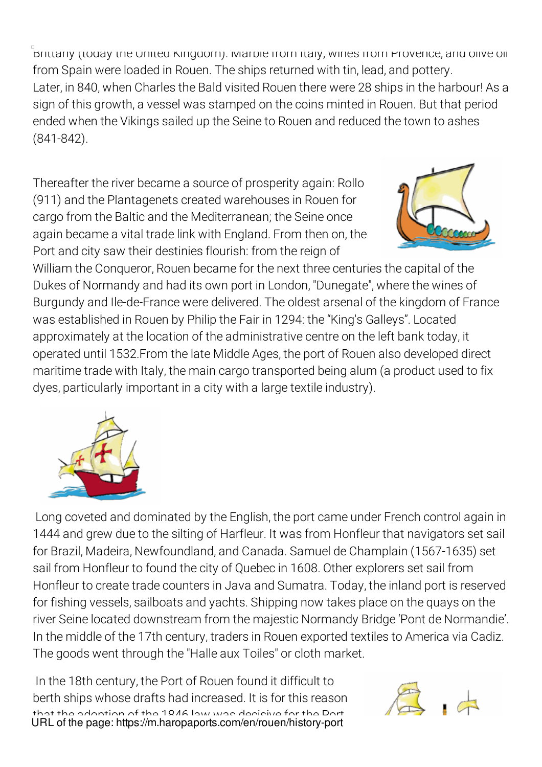Brittany (today the United Kingdom). Marble from Italy, wines from Provence, and olive oil from Spain were loaded in Rouen. The ships returned with tin, lead, and pottery. Later, in 840, when Charles the Bald visited Rouen there were 28 ships in the harbour! As a sign of this growth, a vessel was stamped on the coins minted in Rouen. But that period ended when the Vikings sailed up the Seine to Rouen and reduced the town to ashes (841-842).

Thereafter the river became a source of prosperity again: Rollo (911) and the Plantagenets created warehouses in Rouen for cargo from the Baltic and the Mediterranean; the Seine once again became a vital trade link with England. From then on, the Port and city saw their destinies flourish: from the reign of



William the Conqueror, Rouen became for the next three centuries the capital of the Dukes of Normandy and had its own port in London, "Dunegate", where the wines of Burgundy and Ile-de-France were delivered. The oldest arsenal of the kingdom of France was established in Rouen by Philip the Fair in 1294: the "King's Galleys". Located approximately at the location of the administrative centre on the left bank today, it operated until 1532.From the late Middle Ages, the port of Rouen also developed direct maritime trade with Italy, the main cargo transported being alum (a product used to fix dyes, particularly important in a city with a large textile industry).



Long coveted and dominated by the English, the port came under French control again in 1444 and grew due to the silting of Harfleur. It was from Honfleur that navigators set sail for Brazil, Madeira, Newfoundland, and Canada. Samuel de Champlain (1567-1635) set sail from Honfleur to found the city of Quebec in 1608. Other explorers set sail from Honfleur to create trade counters in Java and Sumatra. Today, the inland port is reserved for fishing vessels, sailboats and yachts. Shipping now takes place on the quays on the river Seine located downstream from the majestic Normandy Bridge 'Pont de Normandie'. In the middle of the 17th century, traders in Rouen exported textiles to America via Cadiz. The goods went through the "Halle aux Toiles" or cloth market.

In the 18th century, the Port of Rouen found it difficult to berth ships whose drafts had increased. It is for this reason that the adoption of the <sup>1846</sup> law was decisive for the Port URL of the page: https://m.haropaports.com/en/rouen/history-port

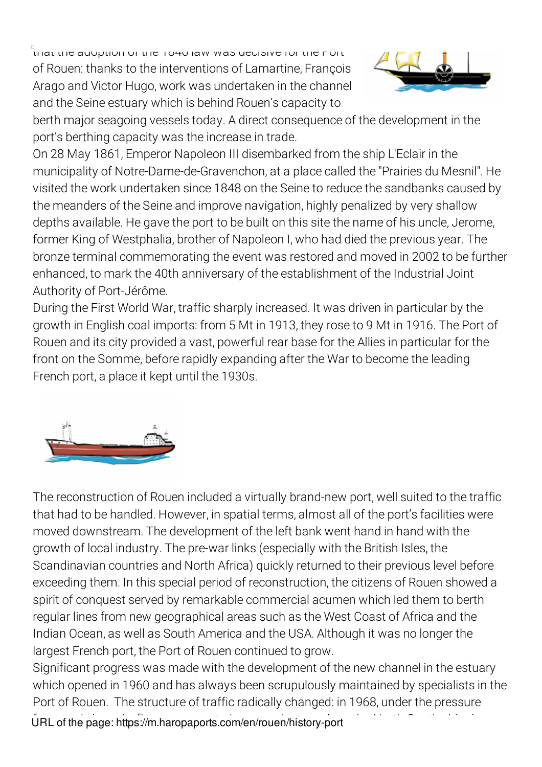a<br>that the adoption of the 1840 law was decisive for the Port of Rouen: thanks to the interventions of Lamartine, François Arago and Victor Hugo, work was undertaken in the channel and the Seine estuary which is behind Rouen's capacity to



berth major seagoing vessels today. A direct consequence of the development in the port's berthing capacity was the increase in trade.

On 28 May 1861, Emperor Napoleon III disembarked from the ship L'Eclair in the municipality of Notre-Dame-de-Gravenchon, at a place called the "Prairies du Mesnil". He visited the work undertaken since 1848 on the Seine to reduce the sandbanks caused by the meanders of the Seine and improve navigation, highly penalized by very shallow depths available. He gave the port to be built on this site the name of his uncle, Jerome, former King of Westphalia, brother of Napoleon I, who had died the previous year. The bronze terminal commemorating the event was restored and moved in 2002 to be further enhanced, to mark the 40th anniversary of the establishment of the Industrial Joint Authority of Port-Jérôme.

During the First World War, traffic sharply increased. It was driven in particular by the growth in English coal imports: from 5 Mt in 1913, they rose to 9 Mt in 1916. The Port of Rouen and its city provided a vast, powerful rear base for the Allies in particular for the front on the Somme, before rapidly expanding after the War to become the leading French port, a place it kept until the 1930s.



The reconstruction of Rouen included a virtually brand-new port, well suited to the traffic that had to be handled. However, in spatial terms, almost all of the port's facilities were moved downstream. The development of the left bank went hand in hand with the growth of local industry. The pre-war links (especially with the British Isles, the Scandinavian countries and North Africa) quickly returned to their previous level before exceeding them. In this special period of reconstruction, the citizens of Rouen showed a spirit of conquest served by remarkable commercial acumen which led them to berth regular lines from new geographical areas such as the West Coast of Africa and the Indian Ocean, as well as South America and the USA. Although it was no longer the largest French port, the Port of Rouen continued to grow.

Significant progress was made with the development of the new channel in the estuary which opened in 1960 and has always been scrupulously maintained by specialists in the Port of Rouen. The structure of traffic radically changed: in 1968, under the pressure URL of the page: https://m.haropaports.com/en/rouen/history-port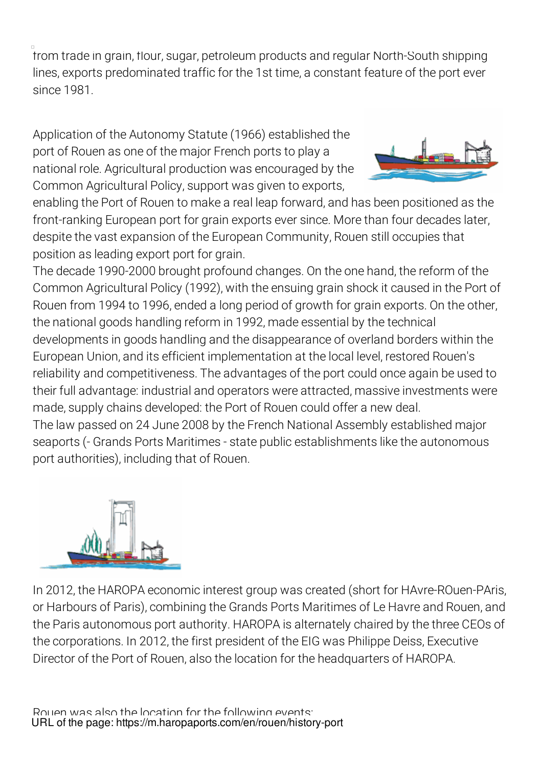from trade in grain, flour, sugar, petroleum products and regular North-South shipping lines, exports predominated traffic for the 1st time, a constant feature of the port ever since 1981.

Application of the Autonomy Statute (1966) established the port of Rouen as one of the major French ports to play a national role. Agricultural production was encouraged by the Common Agricultural Policy, support was given to exports,



enabling the Port of Rouen to make a real leap forward, and has been positioned as the front-ranking European port for grain exports ever since. More than four decades later, despite the vast expansion of the European Community, Rouen still occupies that position as leading export port for grain.

The decade 1990-2000 brought profound changes. On the one hand, the reform of the Common Agricultural Policy (1992), with the ensuing grain shock it caused in the Port of Rouen from 1994 to 1996, ended a long period of growth for grain exports. On the other, the national goods handling reform in 1992, made essential by the technical developments in goods handling and the disappearance of overland borders within the European Union, and its efficient implementation at the local level, restored Rouen's reliability and competitiveness. The advantages of the port could once again be used to their full advantage: industrial and operators were attracted, massive investments were made, supply chains developed: the Port of Rouen could offer a new deal.

The law passed on 24 June 2008 by the French National Assembly established major seaports (- Grands Ports Maritimes - state public establishments like the autonomous port authorities), including that of Rouen.



In 2012, the HAROPA economic interest group was created (short for HAvre-ROuen-PAris, or Harbours of Paris), combining the Grands Ports Maritimes of Le Havre and Rouen, and the Paris autonomous port authority. HAROPA is alternately chaired by the three CEOs of the corporations. In 2012, the first president of the EIG was Philippe Deiss, Executive Director of the Port of Rouen, also the location for the headquarters of HAROPA.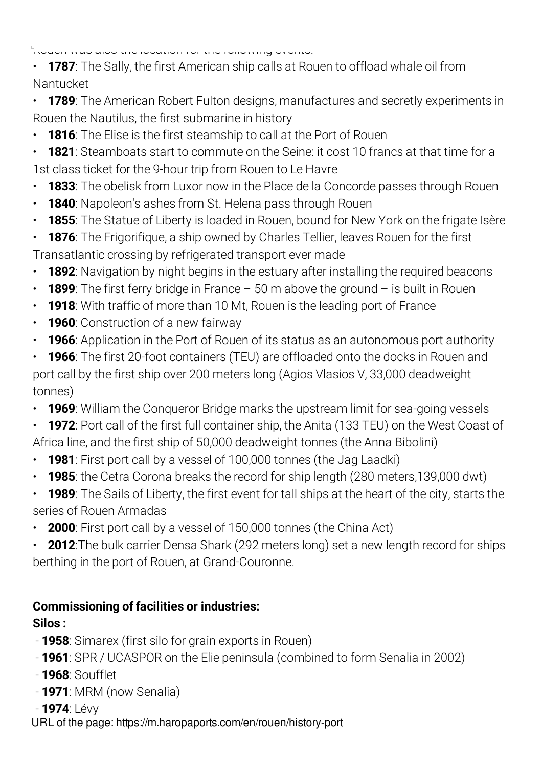$\frac{1}{2}$ rouen was also the location for the following events:

**1787**: The Sally, the first American ship calls at Rouen to offload whale oil from Nantucket

• **1789**: The American Robert Fulton designs, manufactures and secretly experiments in Rouen the Nautilus, the first submarine in history

- **1816**: The Elise is the first steamship to call at the Port of Rouen
- **1821**: Steamboats start to commute on the Seine: it cost 10 francs at that time for a 1st class ticket for the 9-hour trip from Rouen to Le Havre
- **1833**: The obelisk from Luxor now in the Place de la Concorde passes through Rouen
- **1840**: Napoleon's ashes from St. Helena pass through Rouen
- **1855**: The Statue of Liberty is loaded in Rouen, bound for New York on the frigate Isère
- **1876**: The Frigorifique, a ship owned by Charles Tellier, leaves Rouen for the first Transatlantic crossing by refrigerated transport ever made
- **1892**: Navigation by night begins in the estuary after installing the required beacons
- **1899**: The first ferry bridge in France 50 m above the ground is built in Rouen
- **1918**: With traffic of more than 10 Mt, Rouen is the leading port of France
- **1960**: Construction of a new fairway
- **1966**: Application in the Port of Rouen of its status as an autonomous port authority
- **1966**: The first 20-foot containers (TEU) are offloaded onto the docks in Rouen and port call by the first ship over 200 meters long (Agios Vlasios V, 33,000 deadweight tonnes)
- **1969**: William the Conqueror Bridge marks the upstream limit for sea-going vessels
- **1972**: Port call of the first full container ship, the Anita (133 TEU) on the West Coast of Africa line, and the first ship of 50,000 deadweight tonnes (the Anna Bibolini)
- **1981**: First port call by a vessel of 100,000 tonnes (the Jag Laadki)
- **1985**: the Cetra Corona breaks the record for ship length (280 meters,139,000 dwt)
- **1989**: The Sails of Liberty, the first event for tall ships at the heart of the city, starts the series of Rouen Armadas
- **2000**: First port call by a vessel of 150,000 tonnes (the China Act)
- **2012**:The bulk carrier Densa Shark (292 meters long) set a new length record for ships berthing in the port of Rouen, at Grand-Couronne.

# **Commissioning of facilities or industries:**

# **Silos :**

- **1958**: Simarex (first silo for grain exports in Rouen)
- **1961**: SPR / UCASPOR on the Elie peninsula (combined to form Senalia in 2002)
- **1968**: Soufflet
- **1971**: MRM (now Senalia)
- **1974**: Lévy

URL of the page: https://m.haropaports.com/en/rouen/history-port